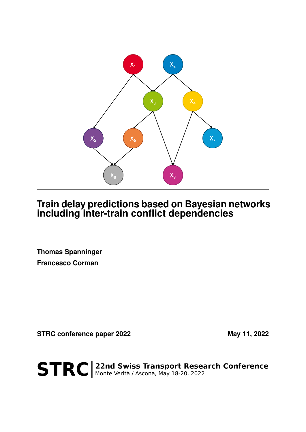

# **Train delay predictions based on Bayesian networks including inter-train conflict dependencies**

**Thomas Spanninger Francesco Corman**

**STRC conference paper 2022** May 11, 2022

STRC | 22nd Swiss Transport Research Conference